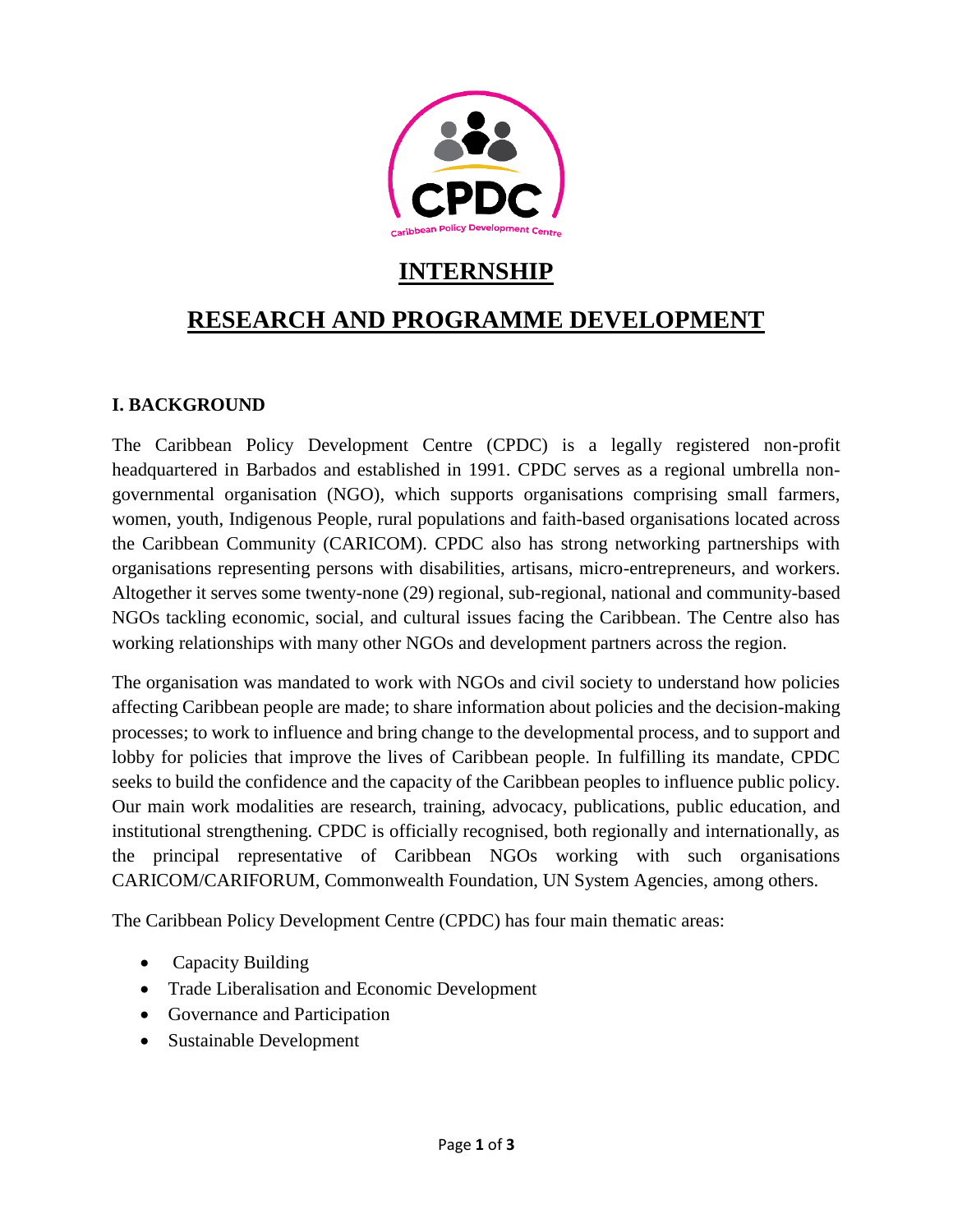

# **INTERNSHIP**

# **RESEARCH AND PROGRAMME DEVELOPMENT**

#### **I. BACKGROUND**

The Caribbean Policy Development Centre (CPDC) is a legally registered non-profit headquartered in Barbados and established in 1991. CPDC serves as a regional umbrella nongovernmental organisation (NGO), which supports organisations comprising small farmers, women, youth, Indigenous People, rural populations and faith-based organisations located across the Caribbean Community (CARICOM). CPDC also has strong networking partnerships with organisations representing persons with disabilities, artisans, micro-entrepreneurs, and workers. Altogether it serves some twenty-none (29) regional, sub-regional, national and community-based NGOs tackling economic, social, and cultural issues facing the Caribbean. The Centre also has working relationships with many other NGOs and development partners across the region.

The organisation was mandated to work with NGOs and civil society to understand how policies affecting Caribbean people are made; to share information about policies and the decision-making processes; to work to influence and bring change to the developmental process, and to support and lobby for policies that improve the lives of Caribbean people. In fulfilling its mandate, CPDC seeks to build the confidence and the capacity of the Caribbean peoples to influence public policy. Our main work modalities are research, training, advocacy, publications, public education, and institutional strengthening. CPDC is officially recognised, both regionally and internationally, as the principal representative of Caribbean NGOs working with such organisations CARICOM/CARIFORUM, Commonwealth Foundation, UN System Agencies, among others.

The Caribbean Policy Development Centre (CPDC) has four main thematic areas:

- Capacity Building
- Trade Liberalisation and Economic Development
- Governance and Participation
- Sustainable Development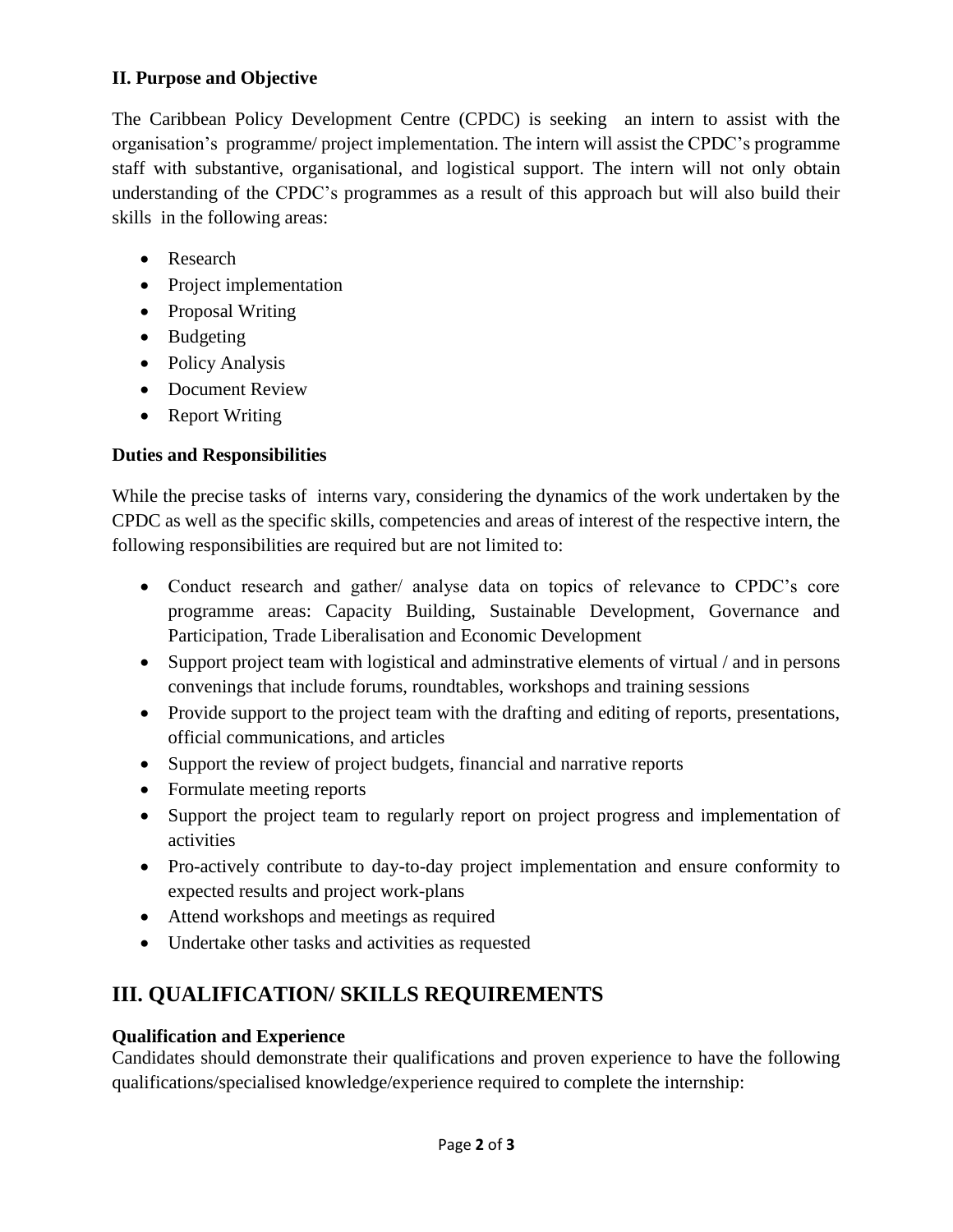### **II. Purpose and Objective**

The Caribbean Policy Development Centre (CPDC) is seeking an intern to assist with the organisation's programme/ project implementation. The intern will assist the CPDC's programme staff with substantive, organisational, and logistical support. The intern will not only obtain understanding of the CPDC's programmes as a result of this approach but will also build their skills in the following areas:

- Research
- Project implementation
- Proposal Writing
- Budgeting
- Policy Analysis
- Document Review
- Report Writing

### **Duties and Responsibilities**

While the precise tasks of interns vary, considering the dynamics of the work undertaken by the CPDC as well as the specific skills, competencies and areas of interest of the respective intern, the following responsibilities are required but are not limited to:

- Conduct research and gather/ analyse data on topics of relevance to CPDC's core programme areas: Capacity Building, Sustainable Development, Governance and Participation, Trade Liberalisation and Economic Development
- Support project team with logistical and administrative elements of virtual / and in persons convenings that include forums, roundtables, workshops and training sessions
- Provide support to the project team with the drafting and editing of reports, presentations, official communications, and articles
- Support the review of project budgets, financial and narrative reports
- Formulate meeting reports
- Support the project team to regularly report on project progress and implementation of activities
- Pro-actively contribute to day-to-day project implementation and ensure conformity to expected results and project work-plans
- Attend workshops and meetings as required
- Undertake other tasks and activities as requested

## **III. QUALIFICATION/ SKILLS REQUIREMENTS**

### **Qualification and Experience**

Candidates should demonstrate their qualifications and proven experience to have the following qualifications/specialised knowledge/experience required to complete the internship: